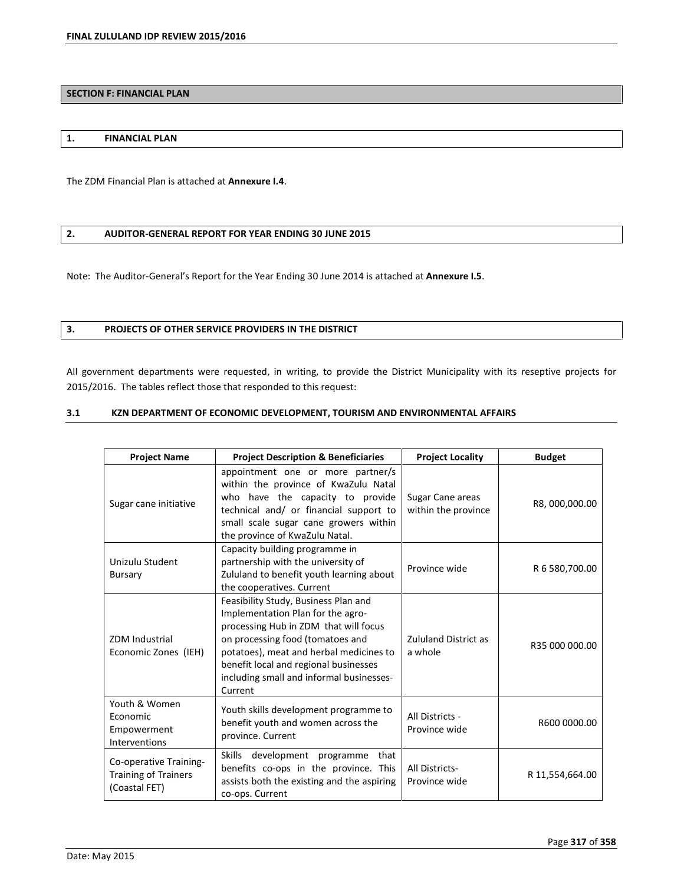## **SECTION F: FINANCIAL PLAN**

#### **1. FINANCIAL PLAN**

The ZDM Financial Plan is attached at **Annexure I.4**.

# **2. AUDITOR-GENERAL REPORT FOR YEAR ENDING 30 JUNE 2015**

Note: The Auditor-Generalís Report for the Year Ending 30 June 2014 is attached at **Annexure I.5**.

### **3. PROJECTS OF OTHER SERVICE PROVIDERS IN THE DISTRICT**

All government departments were requested, in writing, to provide the District Municipality with its reseptive projects for 2015/2016. The tables reflect those that responded to this request:

### **3.1 KZN DEPARTMENT OF ECONOMIC DEVELOPMENT, TOURISM AND ENVIRONMENTAL AFFAIRS**

| <b>Project Name</b>                                                    | <b>Project Description &amp; Beneficiaries</b>                                                                                                                                                                                                                                                    | <b>Project Locality</b>                 | <b>Budget</b>   |
|------------------------------------------------------------------------|---------------------------------------------------------------------------------------------------------------------------------------------------------------------------------------------------------------------------------------------------------------------------------------------------|-----------------------------------------|-----------------|
| Sugar cane initiative                                                  | appointment one or more partner/s<br>within the province of KwaZulu Natal<br>who have the capacity to provide<br>technical and/ or financial support to<br>small scale sugar cane growers within<br>the province of KwaZulu Natal.                                                                | Sugar Cane areas<br>within the province | R8,000,000.00   |
| Unizulu Student<br>Bursary                                             | Capacity building programme in<br>partnership with the university of<br>Zululand to benefit youth learning about<br>the cooperatives. Current                                                                                                                                                     | Province wide                           | R 6 580,700.00  |
| <b>ZDM</b> Industrial<br>Economic Zones (IEH)                          | Feasibility Study, Business Plan and<br>Implementation Plan for the agro-<br>processing Hub in ZDM that will focus<br>on processing food (tomatoes and<br>potatoes), meat and herbal medicines to<br>benefit local and regional businesses<br>including small and informal businesses-<br>Current | <b>Zululand District as</b><br>a whole  | R35 000 000.00  |
| Youth & Women<br>Economic<br>Empowerment<br>Interventions              | Youth skills development programme to<br>benefit youth and women across the<br>province. Current                                                                                                                                                                                                  | All Districts -<br>Province wide        | R600 0000.00    |
| Co-operative Training-<br><b>Training of Trainers</b><br>(Coastal FET) | Skills development programme that<br>benefits co-ops in the province. This<br>assists both the existing and the aspiring<br>co-ops. Current                                                                                                                                                       | All Districts-<br>Province wide         | R 11,554,664.00 |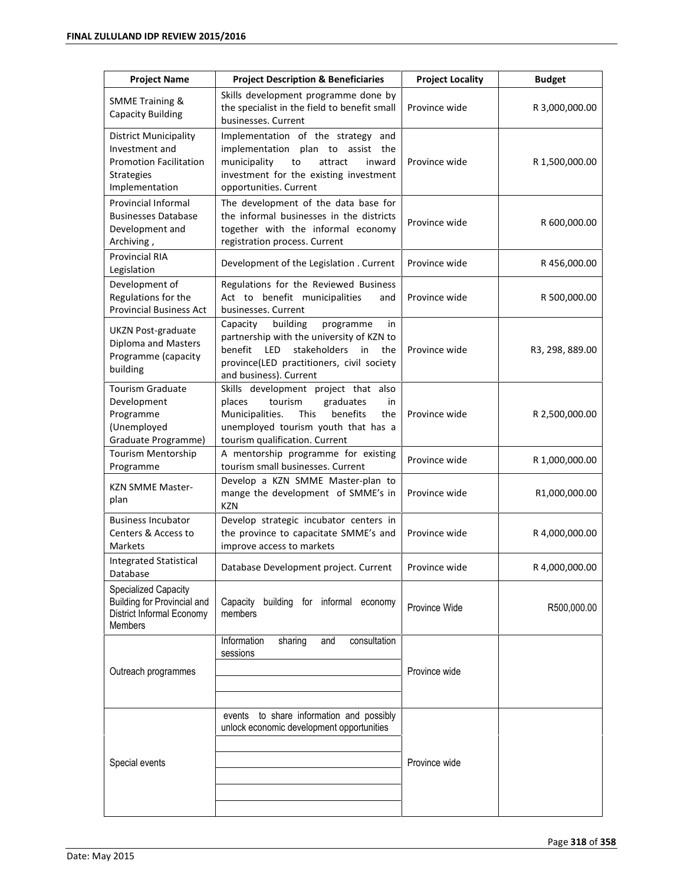| <b>Project Name</b>                                                                                                    | <b>Project Description &amp; Beneficiaries</b>                                                                                                                                                                    | <b>Project Locality</b> | <b>Budget</b>   |
|------------------------------------------------------------------------------------------------------------------------|-------------------------------------------------------------------------------------------------------------------------------------------------------------------------------------------------------------------|-------------------------|-----------------|
| <b>SMME Training &amp;</b><br><b>Capacity Building</b>                                                                 | Skills development programme done by<br>the specialist in the field to benefit small<br>businesses. Current                                                                                                       | Province wide           | R 3,000,000.00  |
| <b>District Municipality</b><br>Investment and<br><b>Promotion Facilitation</b><br><b>Strategies</b><br>Implementation | Implementation of the strategy and<br>implementation<br>plan to assist the<br>municipality<br>to<br>attract<br>inward<br>investment for the existing investment<br>opportunities. Current                         | Province wide           | R 1,500,000.00  |
| Provincial Informal<br><b>Businesses Database</b><br>Development and<br>Archiving,                                     | The development of the data base for<br>the informal businesses in the districts<br>together with the informal economy<br>registration process. Current                                                           | Province wide           | R 600,000.00    |
| <b>Provincial RIA</b><br>Legislation                                                                                   | Development of the Legislation . Current                                                                                                                                                                          | Province wide           | R456,000.00     |
| Development of<br>Regulations for the<br><b>Provincial Business Act</b>                                                | Regulations for the Reviewed Business<br>Act to benefit municipalities<br>and<br>businesses. Current                                                                                                              | Province wide           | R 500,000.00    |
| <b>UKZN Post-graduate</b><br>Diploma and Masters<br>Programme (capacity<br>building                                    | Capacity<br>building<br>programme<br>in<br>partnership with the university of KZN to<br>benefit<br>stakeholders<br><b>LED</b><br>in<br>the<br>province(LED practitioners, civil society<br>and business). Current | Province wide           | R3, 298, 889.00 |
| Tourism Graduate<br>Development<br>Programme<br>(Unemployed<br>Graduate Programme)                                     | Skills development project that also<br>tourism<br>graduates<br>places<br>in<br>Municipalities.<br>This<br>benefits<br>the<br>unemployed tourism youth that has a<br>tourism qualification. Current               | Province wide           | R 2,500,000.00  |
| Tourism Mentorship<br>Programme                                                                                        | A mentorship programme for existing<br>tourism small businesses. Current                                                                                                                                          | Province wide           | R 1,000,000.00  |
| <b>KZN SMME Master-</b><br>plan                                                                                        | Develop a KZN SMME Master-plan to<br>mange the development of SMME's in<br><b>KZN</b>                                                                                                                             | Province wide           | R1,000,000.00   |
| <b>Business Incubator</b><br>Centers & Access to<br>Markets                                                            | Develop strategic incubator centers in<br>the province to capacitate SMME's and<br>improve access to markets                                                                                                      | Province wide           | R 4,000,000.00  |
| Integrated Statistical<br>Database                                                                                     | Database Development project. Current                                                                                                                                                                             | Province wide           | R 4,000,000.00  |
| Specialized Capacity<br>Building for Provincial and<br>District Informal Economy<br><b>Members</b>                     | building for informal economy<br>Capacity<br>members                                                                                                                                                              | Province Wide           | R500,000.00     |
| Outreach programmes                                                                                                    | Information<br>consultation<br>sharing<br>and<br>sessions                                                                                                                                                         | Province wide           |                 |
| Special events                                                                                                         | events to share information and possibly<br>unlock economic development opportunities                                                                                                                             | Province wide           |                 |
|                                                                                                                        |                                                                                                                                                                                                                   |                         |                 |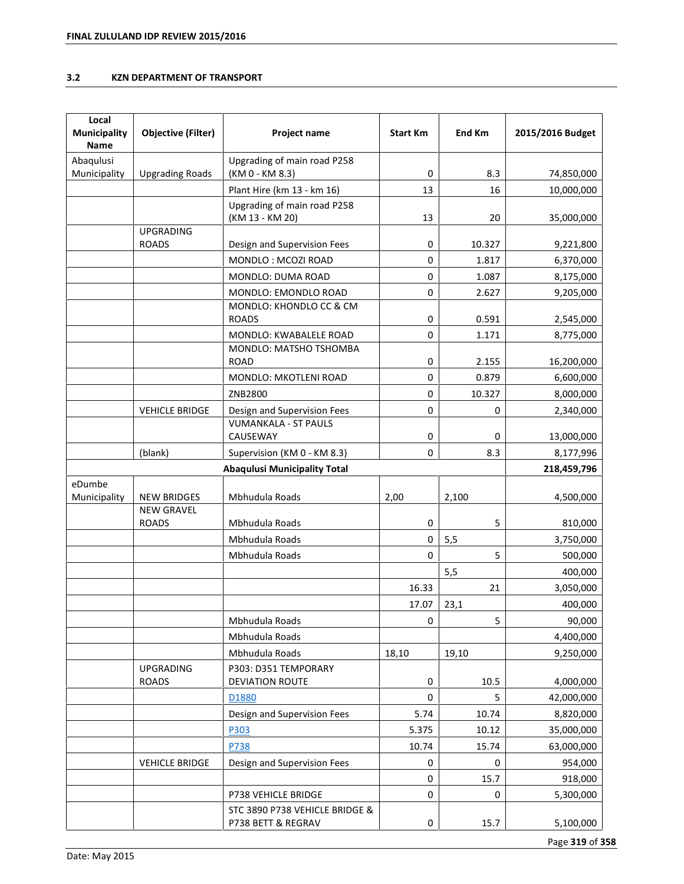# **3.2 KZN DEPARTMENT OF TRANSPORT**

| Local<br><b>Municipality</b><br><b>Name</b> | <b>Objective (Filter)</b>         | Project name                                               | <b>Start Km</b>  | End Km          | 2015/2016 Budget       |
|---------------------------------------------|-----------------------------------|------------------------------------------------------------|------------------|-----------------|------------------------|
| Abaqulusi                                   |                                   | Upgrading of main road P258                                |                  |                 |                        |
| Municipality                                | <b>Upgrading Roads</b>            | (KM 0 - KM 8.3)                                            | 0                | 8.3             | 74,850,000             |
|                                             |                                   | Plant Hire (km 13 - km 16)                                 | 13               | 16              | 10,000,000             |
|                                             |                                   | Upgrading of main road P258<br>(KM 13 - KM 20)             | 13               | 20              | 35,000,000             |
|                                             | <b>UPGRADING</b>                  |                                                            | 0                |                 |                        |
|                                             | <b>ROADS</b>                      | Design and Supervision Fees<br>MONDLO: MCOZI ROAD          | $\mathbf 0$      | 10.327<br>1.817 | 9,221,800<br>6,370,000 |
|                                             |                                   | MONDLO: DUMA ROAD                                          | $\mathbf 0$      | 1.087           | 8,175,000              |
|                                             |                                   | MONDLO: EMONDLO ROAD                                       | $\pmb{0}$        | 2.627           |                        |
|                                             |                                   | MONDLO: KHONDLO CC & CM                                    |                  |                 | 9,205,000              |
|                                             |                                   | <b>ROADS</b>                                               | 0                | 0.591           | 2,545,000              |
|                                             |                                   | MONDLO: KWABALELE ROAD                                     | $\pmb{0}$        | 1.171           | 8,775,000              |
|                                             |                                   | MONDLO: MATSHO TSHOMBA                                     |                  |                 |                        |
|                                             |                                   | <b>ROAD</b><br><b>MONDLO: MKOTLENI ROAD</b>                | 0<br>0           | 2.155<br>0.879  | 16,200,000             |
|                                             |                                   | ZNB2800                                                    |                  |                 | 6,600,000              |
|                                             | <b>VEHICLE BRIDGE</b>             |                                                            | 0<br>$\mathbf 0$ | 10.327<br>0     | 8,000,000              |
|                                             |                                   | Design and Supervision Fees<br><b>VUMANKALA - ST PAULS</b> |                  |                 | 2,340,000              |
|                                             |                                   | CAUSEWAY                                                   | $\pmb{0}$        | 0               | 13,000,000             |
|                                             | (blank)                           | Supervision (KM 0 - KM 8.3)                                | $\mathbf 0$      | 8.3             | 8,177,996              |
| <b>Abaqulusi Municipality Total</b>         |                                   |                                                            |                  | 218,459,796     |                        |
| eDumbe<br>Municipality                      | <b>NEW BRIDGES</b>                | Mbhudula Roads                                             | 2,00             | 2,100           | 4,500,000              |
|                                             | <b>NEW GRAVEL</b><br><b>ROADS</b> | Mbhudula Roads                                             | 0                | 5               | 810,000                |
|                                             |                                   | Mbhudula Roads                                             | 0                | 5,5             | 3,750,000              |
|                                             |                                   | Mbhudula Roads                                             | 0                | 5               | 500,000                |
|                                             |                                   |                                                            |                  | 5,5             | 400,000                |
|                                             |                                   |                                                            | 16.33            | 21              | 3,050,000              |
|                                             |                                   |                                                            | 17.07            | 23,1            | 400,000                |
|                                             |                                   | Mbhudula Roads                                             | 0                | 5               | 90,000                 |
|                                             |                                   | Mbhudula Roads                                             |                  |                 | 4,400,000              |
|                                             |                                   | Mbhudula Roads                                             | 18,10            | 19,10           | 9,250,000              |
|                                             | <b>UPGRADING</b><br><b>ROADS</b>  | P303: D351 TEMPORARY<br>DEVIATION ROUTE                    | 0                | 10.5            | 4,000,000              |
|                                             |                                   | D1880                                                      | $\mathbf 0$      | 5               | 42,000,000             |
|                                             |                                   | Design and Supervision Fees                                | 5.74             | 10.74           | 8,820,000              |
|                                             |                                   | P303                                                       | 5.375            | 10.12           | 35,000,000             |
|                                             |                                   | P738                                                       | 10.74            | 15.74           | 63,000,000             |
|                                             | <b>VEHICLE BRIDGE</b>             | Design and Supervision Fees                                | 0                | 0               | 954,000                |
|                                             |                                   |                                                            | $\pmb{0}$        | 15.7            | 918,000                |
|                                             |                                   | P738 VEHICLE BRIDGE                                        | 0                | 0               | 5,300,000              |
|                                             |                                   | STC 3890 P738 VEHICLE BRIDGE &                             |                  |                 |                        |
|                                             |                                   | P738 BETT & REGRAV                                         | 0                | 15.7            | 5,100,000              |

Page **319** of **358**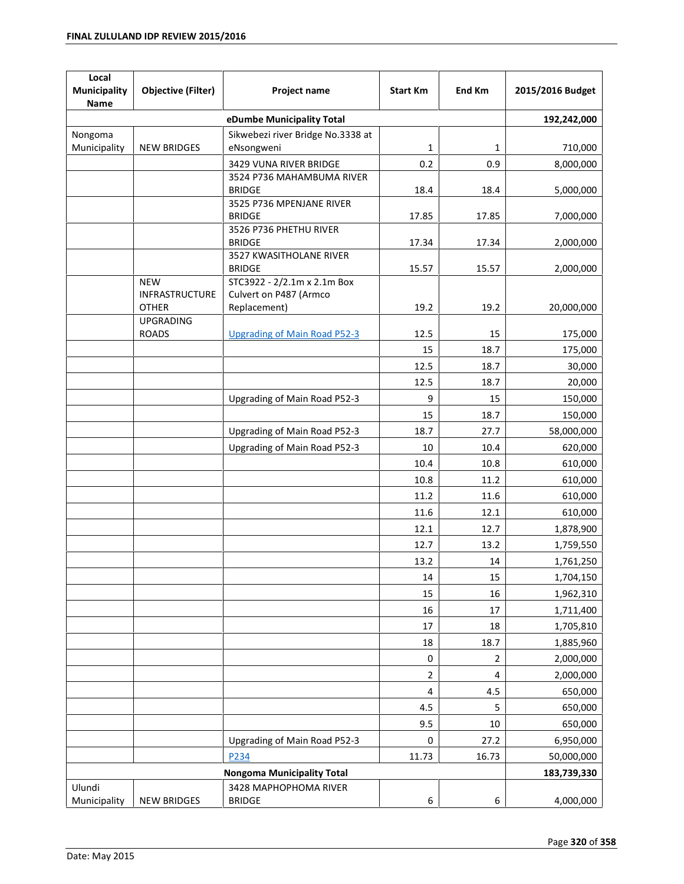| Local<br>Municipality<br>Name     | <b>Objective (Filter)</b>           | Project name                                          | <b>Start Km</b> | End Km         | 2015/2016 Budget |
|-----------------------------------|-------------------------------------|-------------------------------------------------------|-----------------|----------------|------------------|
| eDumbe Municipality Total         |                                     |                                                       |                 |                | 192,242,000      |
| Nongoma                           |                                     | Sikwebezi river Bridge No.3338 at                     |                 |                |                  |
| Municipality                      | <b>NEW BRIDGES</b>                  | eNsongweni                                            | 1               | 1              | 710,000          |
|                                   |                                     | 3429 VUNA RIVER BRIDGE                                | 0.2             | 0.9            | 8,000,000        |
|                                   |                                     | 3524 P736 MAHAMBUMA RIVER                             |                 |                |                  |
|                                   |                                     | <b>BRIDGE</b><br>3525 P736 MPENJANE RIVER             | 18.4            | 18.4           | 5,000,000        |
|                                   |                                     | <b>BRIDGE</b>                                         | 17.85           | 17.85          | 7,000,000        |
|                                   |                                     | 3526 P736 PHETHU RIVER                                |                 |                |                  |
|                                   |                                     | <b>BRIDGE</b>                                         | 17.34           | 17.34          | 2,000,000        |
|                                   |                                     | 3527 KWASITHOLANE RIVER                               |                 |                |                  |
|                                   |                                     | <b>BRIDGE</b>                                         | 15.57           | 15.57          | 2,000,000        |
|                                   | <b>NEW</b><br><b>INFRASTRUCTURE</b> | STC3922 - 2/2.1m x 2.1m Box<br>Culvert on P487 (Armco |                 |                |                  |
|                                   | <b>OTHER</b>                        | Replacement)                                          | 19.2            | 19.2           | 20,000,000       |
|                                   | <b>UPGRADING</b>                    |                                                       |                 |                |                  |
|                                   | <b>ROADS</b>                        | <b>Upgrading of Main Road P52-3</b>                   | 12.5            | 15             | 175,000          |
|                                   |                                     |                                                       | 15              | 18.7           | 175,000          |
|                                   |                                     |                                                       | 12.5            | 18.7           | 30,000           |
|                                   |                                     |                                                       | 12.5            | 18.7           | 20,000           |
|                                   |                                     | Upgrading of Main Road P52-3                          | 9               | 15             | 150,000          |
|                                   |                                     |                                                       | 15              | 18.7           | 150,000          |
|                                   |                                     |                                                       |                 |                |                  |
|                                   |                                     | Upgrading of Main Road P52-3                          | 18.7            | 27.7           | 58,000,000       |
|                                   |                                     | Upgrading of Main Road P52-3                          | 10              | 10.4           | 620,000          |
|                                   |                                     |                                                       | 10.4            | 10.8           | 610,000          |
|                                   |                                     |                                                       | 10.8            | 11.2           | 610,000          |
|                                   |                                     |                                                       | 11.2            | 11.6           | 610,000          |
|                                   |                                     |                                                       | 11.6            | 12.1           | 610,000          |
|                                   |                                     |                                                       | 12.1            | 12.7           | 1,878,900        |
|                                   |                                     |                                                       | 12.7            | 13.2           | 1,759,550        |
|                                   |                                     |                                                       | 13.2            | 14             | 1,761,250        |
|                                   |                                     |                                                       | 14              | 15             | 1,704,150        |
|                                   |                                     |                                                       | 15              | 16             | 1,962,310        |
|                                   |                                     |                                                       | 16              | 17             | 1,711,400        |
|                                   |                                     |                                                       | 17              | 18             | 1,705,810        |
|                                   |                                     |                                                       | 18              | 18.7           | 1,885,960        |
|                                   |                                     |                                                       | 0               | $\overline{2}$ | 2,000,000        |
|                                   |                                     |                                                       | $\overline{2}$  | 4              | 2,000,000        |
|                                   |                                     |                                                       |                 |                |                  |
|                                   |                                     |                                                       | $\overline{4}$  | 4.5            | 650,000          |
|                                   |                                     |                                                       | 4.5             | 5              | 650,000          |
|                                   |                                     |                                                       | 9.5             | 10             | 650,000          |
|                                   |                                     | Upgrading of Main Road P52-3                          | 0               | 27.2           | 6,950,000        |
|                                   |                                     | P234                                                  | 11.73           | 16.73          | 50,000,000       |
| <b>Nongoma Municipality Total</b> |                                     |                                                       |                 | 183,739,330    |                  |
| Ulundi                            |                                     | 3428 MAPHOPHOMA RIVER                                 |                 |                |                  |
| Municipality                      | <b>NEW BRIDGES</b>                  | <b>BRIDGE</b>                                         | 6               | 6              | 4,000,000        |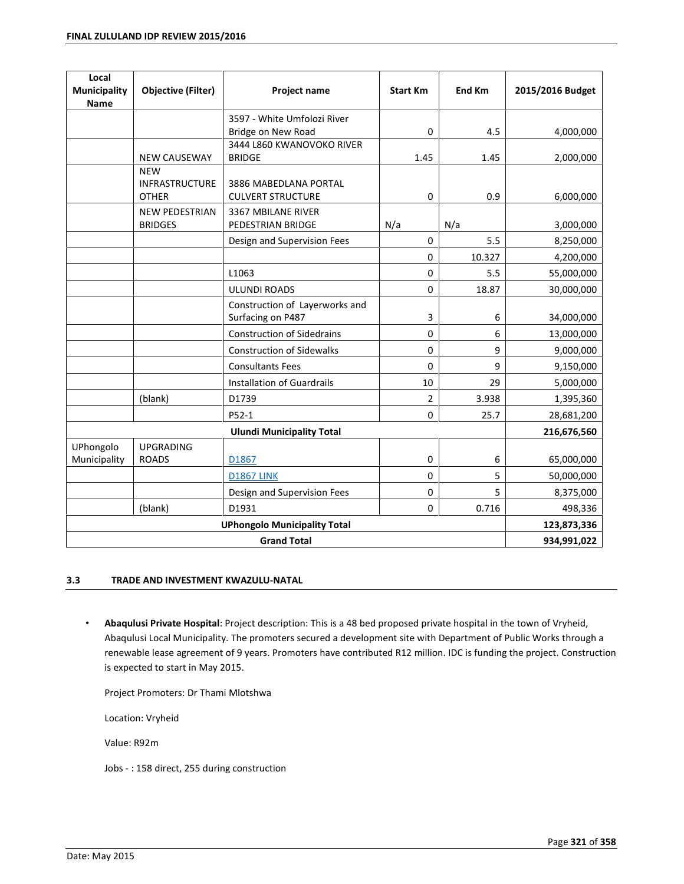| Local<br><b>Municipality</b><br><b>Name</b> | <b>Objective (Filter)</b> | Project name                               | <b>Start Km</b> | <b>End Km</b> | 2015/2016 Budget |
|---------------------------------------------|---------------------------|--------------------------------------------|-----------------|---------------|------------------|
|                                             |                           | 3597 - White Umfolozi River                |                 |               |                  |
|                                             |                           | Bridge on New Road                         | $\Omega$        | 4.5           | 4,000,000        |
|                                             | <b>NEW CAUSEWAY</b>       | 3444 L860 KWANOVOKO RIVER<br><b>BRIDGE</b> | 1.45            | 1.45          | 2,000,000        |
|                                             | <b>NEW</b>                |                                            |                 |               |                  |
|                                             | INFRASTRUCTURE            | 3886 MABEDLANA PORTAL                      |                 |               |                  |
|                                             | <b>OTHER</b>              | <b>CULVERT STRUCTURE</b>                   | 0               | 0.9           | 6,000,000        |
|                                             | <b>NEW PEDESTRIAN</b>     | 3367 MBILANE RIVER                         |                 |               |                  |
|                                             | <b>BRIDGES</b>            | PEDESTRIAN BRIDGE                          | N/a             | N/a           | 3,000,000        |
|                                             |                           | Design and Supervision Fees                | $\Omega$        | 5.5           | 8,250,000        |
|                                             |                           |                                            | 0               | 10.327        | 4,200,000        |
|                                             |                           | L1063                                      | $\mathbf 0$     | 5.5           | 55,000,000       |
|                                             |                           | <b>ULUNDI ROADS</b>                        | $\mathbf 0$     | 18.87         | 30,000,000       |
|                                             |                           | Construction of Layerworks and             |                 |               |                  |
|                                             |                           | Surfacing on P487                          | 3               | 6             | 34,000,000       |
|                                             |                           | <b>Construction of Sidedrains</b>          | 0               | 6             | 13,000,000       |
|                                             |                           | <b>Construction of Sidewalks</b>           | 0               | 9             | 9,000,000        |
|                                             |                           | <b>Consultants Fees</b>                    | 0               | 9             | 9,150,000        |
|                                             |                           | <b>Installation of Guardrails</b>          | 10              | 29            | 5,000,000        |
|                                             | (blank)                   | D1739                                      | $\overline{2}$  | 3.938         | 1,395,360        |
|                                             |                           | P52-1                                      | $\pmb{0}$       | 25.7          | 28,681,200       |
|                                             |                           | <b>Ulundi Municipality Total</b>           |                 |               | 216,676,560      |
| UPhongolo                                   | <b>UPGRADING</b>          |                                            |                 |               |                  |
| Municipality                                | <b>ROADS</b>              | D1867                                      | $\mathbf 0$     | 6             | 65,000,000       |
|                                             |                           | <b>D1867 LINK</b>                          | 0               | 5             | 50,000,000       |
|                                             |                           | Design and Supervision Fees                | $\mathbf 0$     | 5             | 8,375,000        |
|                                             | (blank)                   | D1931                                      | $\mathbf 0$     | 0.716         | 498,336          |
| <b>UPhongolo Municipality Total</b>         |                           |                                            |                 | 123,873,336   |                  |
| <b>Grand Total</b>                          |                           |                                            |                 |               | 934,991,022      |

### **3.3 TRADE AND INVESTMENT KWAZULU-NATAL**

ï **Abaqulusi Private Hospital**: Project description: This is a 48 bed proposed private hospital in the town of Vryheid, Abaqulusi Local Municipality. The promoters secured a development site with Department of Public Works through a renewable lease agreement of 9 years. Promoters have contributed R12 million. IDC is funding the project. Construction is expected to start in May 2015.

Project Promoters: Dr Thami Mlotshwa

Location: Vryheid

Value: R92m

Jobs - : 158 direct, 255 during construction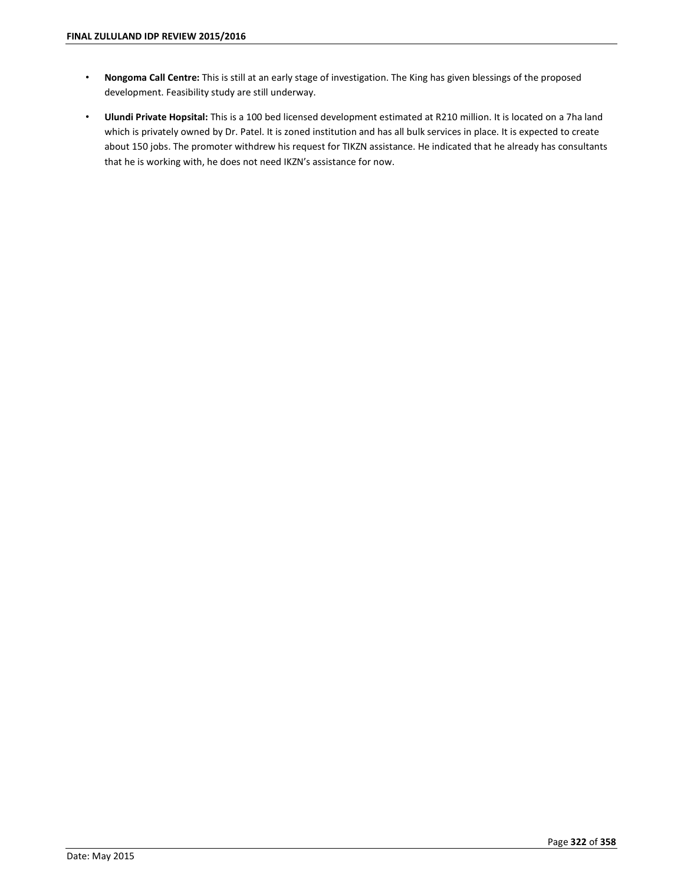- ï **Nongoma Call Centre:** This is still at an early stage of investigation. The King has given blessings of the proposed development. Feasibility study are still underway.
- ï **Ulundi Private Hopsital:** This is a 100 bed licensed development estimated at R210 million. It is located on a 7ha land which is privately owned by Dr. Patel. It is zoned institution and has all bulk services in place. It is expected to create about 150 jobs. The promoter withdrew his request for TIKZN assistance. He indicated that he already has consultants that he is working with, he does not need IKZN's assistance for now.